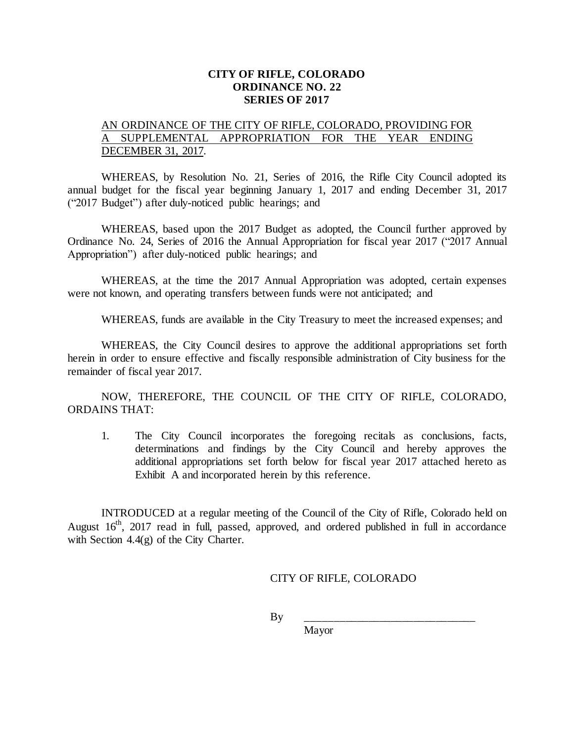## **CITY OF RIFLE, COLORADO ORDINANCE NO. 22 SERIES OF 2017**

## AN ORDINANCE OF THE CITY OF RIFLE, COLORADO, PROVIDING FOR A SUPPLEMENTAL APPROPRIATION FOR THE YEAR ENDING DECEMBER 31, 2017.

WHEREAS, by Resolution No. 21, Series of 2016, the Rifle City Council adopted its annual budget for the fiscal year beginning January 1, 2017 and ending December 31, 2017 ("2017 Budget") after duly-noticed public hearings; and

WHEREAS, based upon the 2017 Budget as adopted, the Council further approved by Ordinance No. 24, Series of 2016 the Annual Appropriation for fiscal year 2017 ("2017 Annual Appropriation") after duly-noticed public hearings; and

WHEREAS, at the time the 2017 Annual Appropriation was adopted, certain expenses were not known, and operating transfers between funds were not anticipated; and

WHEREAS, funds are available in the City Treasury to meet the increased expenses; and

WHEREAS, the City Council desires to approve the additional appropriations set forth herein in order to ensure effective and fiscally responsible administration of City business for the remainder of fiscal year 2017.

NOW, THEREFORE, THE COUNCIL OF THE CITY OF RIFLE, COLORADO, ORDAINS THAT:

1. The City Council incorporates the foregoing recitals as conclusions, facts, determinations and findings by the City Council and hereby approves the additional appropriations set forth below for fiscal year 2017 attached hereto as Exhibit A and incorporated herein by this reference.

INTRODUCED at a regular meeting of the Council of the City of Rifle, Colorado held on August 16<sup>th</sup>, 2017 read in full, passed, approved, and ordered published in full in accordance with Section 4.4(g) of the City Charter.

CITY OF RIFLE, COLORADO

By \_\_\_\_\_\_\_\_\_\_\_\_\_\_\_\_\_\_\_\_\_\_\_\_\_\_\_\_\_\_

Mayor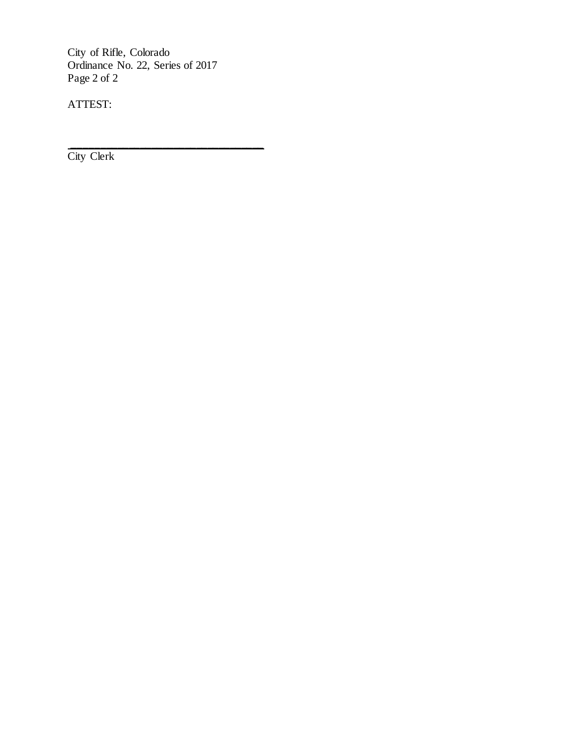City of Rifle, Colorado Ordinance No. 22, Series of 2017 Page 2 of 2

\_\_\_\_\_\_\_\_\_\_\_\_\_\_\_\_\_\_\_\_\_\_\_\_\_\_\_\_\_\_\_\_\_\_

ATTEST:

City Clerk